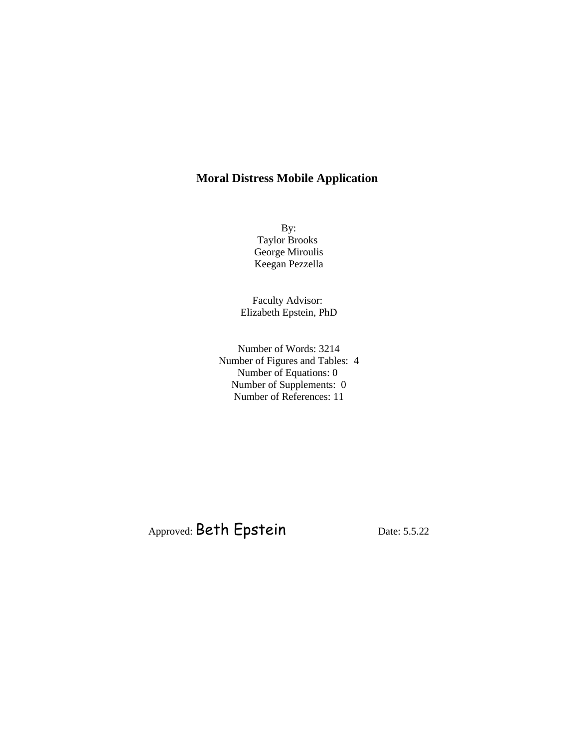# **Moral Distress Mobile Application**

By: Taylor Brooks George Miroulis Keegan Pezzella

Faculty Advisor: Elizabeth Epstein, PhD

Number of Words: 3214 Number of Figures and Tables: 4 Number of Equations: 0 Number of Supplements: 0 Number of References: 11

Approved: Beth Epstein Date: 5.5.22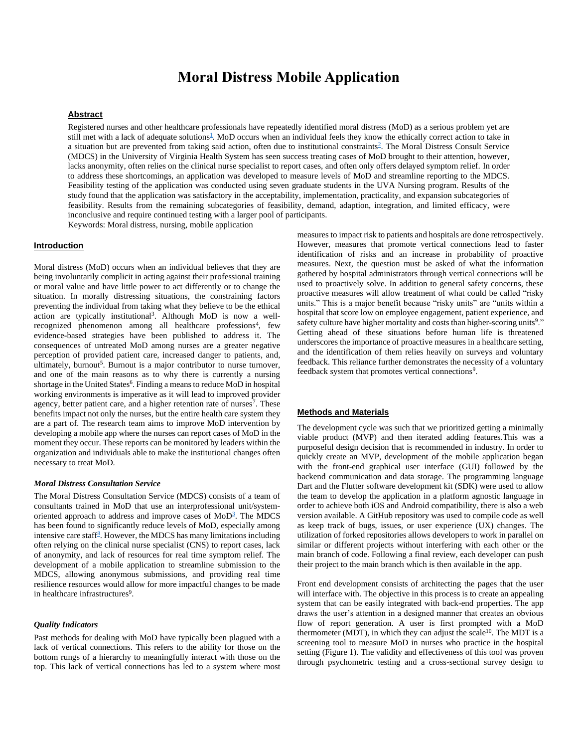# **Moral Distress Mobile Application**

### **Abstract**

Registered nurses and other healthcare professionals have repeatedly identified moral distress (MoD) as a serious problem yet are still met with a lack of adequate solutions<sup>1</sup>[.](https://www.zotero.org/google-docs/?aFV4h2) MoD occurs when an individual feels they know the ethically correct action to take in a [s](https://www.zotero.org/google-docs/?CUF0nd)ituation but are prevented from taking said action, often due to institutional constraints<sup>2</sup>. The Moral Distress Consult Service (MDCS) in the University of Virginia Health System has seen success treating cases of MoD brought to their attention, however, lacks anonymity, often relies on the clinical nurse specialist to report cases, and often only offers delayed symptom relief. In order to address these shortcomings, an application was developed to measure levels of MoD and streamline reporting to the MDCS. Feasibility testing of the application was conducted using seven graduate students in the UVA Nursing program. Results of the study found that the application was satisfactory in the acceptability, implementation, practicality, and expansion subcategories of feasibility. Results from the remaining subcategories of feasibility, demand, adaption, integration, and limited efficacy, were inconclusive and require continued testing with a larger pool of participants.

Keywords: Moral distress, nursing, mobile application

# **Introduction**

Moral distress (MoD) occurs when an individual believes that they are being involuntarily complicit in acting against their professional training or moral value and have little power to act differently or to change the situation. In morally distressing situations, the constraining factors preventing the individual from taking what they believe to be the ethical action are typically institutional<sup>3</sup>. Although MoD is now a wellrecognized phenomenon among all healthcare professions<sup>4</sup>, few evidence-based strategies have been published to address it. The consequences of untreated MoD among nurses are a greater negative perception of provided patient care, increased danger to patients, and, ultimately, burnout<sup>5</sup>. Burnout is a major contributor to nurse turnover, and one of the main reasons as to why there is currently a nursing shortage in the United States<sup>6</sup>. Finding a means to reduce MoD in hospital working environments is imperative as it will lead to improved provider agency, better patient care, and a higher retention rate of nurses<sup>7</sup>. These benefits impact not only the nurses, but the entire health care system they are a part of. The research team aims to improve MoD intervention by developing a mobile app where the nurses can report cases of MoD in the moment they occur. These reports can be monitored by leaders within the organization and individuals able to make the institutional changes often necessary to treat MoD.

## *Moral Distress Consultation Service*

The Moral Distress Consultation Service (MDCS) consists of a team of consultants trained in MoD that use an interprofessional unit/system-oriented approach to address and improve cases of MoD<sup>[3](https://www.zotero.org/google-docs/?gfBIc1)</sup>. The MDCS has been found to significantly reduce levels of MoD, especially among intensive care sta[f](https://www.zotero.org/google-docs/?Db0wGN)f $\frac{8}{5}$ . However, the MDCS has many limitations including often relying on the clinical nurse specialist (CNS) to report cases, lack of anonymity, and lack of resources for real time symptom relief. The development of a mobile application to streamline submission to the MDCS, allowing anonymous submissions, and providing real time resilience resources would allow for more impactful changes to be made in healthcare infrastructures<sup>9</sup>.

#### *Quality Indicators*

Past methods for dealing with MoD have typically been plagued with a lack of vertical connections. This refers to the ability for those on the bottom rungs of a hierarchy to meaningfully interact with those on the top. This lack of vertical connections has led to a system where most measures to impact risk to patients and hospitals are done retrospectively. However, measures that promote vertical connections lead to faster identification of risks and an increase in probability of proactive measures. Next, the question must be asked of what the information gathered by hospital administrators through vertical connections will be used to proactively solve. In addition to general safety concerns, these proactive measures will allow treatment of what could be called "risky units." This is a major benefit because "risky units" are "units within a hospital that score low on employee engagement, patient experience, and safety culture have higher mortality and costs than higher-scoring units<sup>9</sup>." Getting ahead of these situations before human life is threatened underscores the importance of proactive measures in a healthcare setting, and the identification of them relies heavily on surveys and voluntary feedback. This reliance further demonstrates the necessity of a voluntary feedback system that promotes vertical connections<sup>9</sup>.

## **Methods and Materials**

The development cycle was such that we prioritized getting a minimally viable product (MVP) and then iterated adding features.This was a purposeful design decision that is recommended in industry. In order to quickly create an MVP, development of the mobile application began with the front-end graphical user interface (GUI) followed by the backend communication and data storage. The programming language Dart and the Flutter software development kit (SDK) were used to allow the team to develop the application in a platform agnostic language in order to achieve both iOS and Android compatibility, there is also a web version available. A GitHub repository was used to compile code as well as keep track of bugs, issues, or user experience (UX) changes. The utilization of forked repositories allows developers to work in parallel on similar or different projects without interfering with each other or the main branch of code. Following a final review, each developer can push their project to the main branch which is then available in the app.

Front end development consists of architecting the pages that the user will interface with. The objective in this process is to create an appealing system that can be easily integrated with back-end properties. The app draws the user's attention in a designed manner that creates an obvious flow of report generation. A user is first prompted with a MoD thermometer (MDT), in which they can adjust the scale<sup>10</sup>. The MDT is a screening tool to measure MoD in nurses who practice in the hospital setting (Figure 1). The validity and effectiveness of this tool was proven through psychometric testing and a cross-sectional survey design to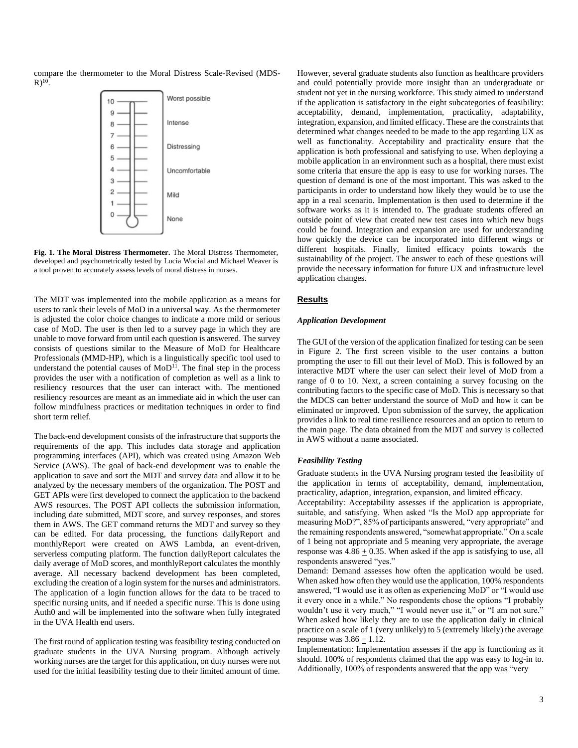compare the thermometer to the Moral Distress Scale-Revised (MDS- $R)^{10}$ .



**Fig. 1. The Moral Distress Thermometer.** The Moral Distress Thermometer, developed and psychometrically tested by Lucia Wocial and Michael Weaver is a tool proven to accurately assess levels of moral distress in nurses.

The MDT was implemented into the mobile application as a means for users to rank their levels of MoD in a universal way. As the thermometer is adjusted the color choice changes to indicate a more mild or serious case of MoD. The user is then led to a survey page in which they are unable to move forward from until each question is answered. The survey consists of questions similar to the Measure of MoD for Healthcare Professionals (MMD-HP), which is a linguistically specific tool used to understand the potential causes of  $MoD<sup>11</sup>$ . The final step in the process provides the user with a notification of completion as well as a link to resiliency resources that the user can interact with. The mentioned resiliency resources are meant as an immediate aid in which the user can follow mindfulness practices or meditation techniques in order to find short term relief.

The back-end development consists of the infrastructure that supports the requirements of the app. This includes data storage and application programming interfaces (API), which was created using Amazon Web Service (AWS). The goal of back-end development was to enable the application to save and sort the MDT and survey data and allow it to be analyzed by the necessary members of the organization. The POST and GET APIs were first developed to connect the application to the backend AWS resources. The POST API collects the submission information, including date submitted, MDT score, and survey responses, and stores them in AWS. The GET command returns the MDT and survey so they can be edited. For data processing, the functions dailyReport and monthlyReport were created on AWS Lambda, an event-driven, serverless computing platform. The function dailyReport calculates the daily average of MoD scores, and monthlyReport calculates the monthly average. All necessary backend development has been completed, excluding the creation of a login system for the nurses and administrators. The application of a login function allows for the data to be traced to specific nursing units, and if needed a specific nurse. This is done using Auth0 and will be implemented into the software when fully integrated in the UVA Health end users.

The first round of application testing was feasibility testing conducted on graduate students in the UVA Nursing program. Although actively working nurses are the target for this application, on duty nurses were not used for the initial feasibility testing due to their limited amount of time.

However, several graduate students also function as healthcare providers and could potentially provide more insight than an undergraduate or student not yet in the nursing workforce. This study aimed to understand if the application is satisfactory in the eight subcategories of feasibility: acceptability, demand, implementation, practicality, adaptability, integration, expansion, and limited efficacy. These are the constraints that determined what changes needed to be made to the app regarding UX as well as functionality. Acceptability and practicality ensure that the application is both professional and satisfying to use. When deploying a mobile application in an environment such as a hospital, there must exist some criteria that ensure the app is easy to use for working nurses. The question of demand is one of the most important. This was asked to the participants in order to understand how likely they would be to use the app in a real scenario. Implementation is then used to determine if the software works as it is intended to. The graduate students offered an outside point of view that created new test cases into which new bugs could be found. Integration and expansion are used for understanding how quickly the device can be incorporated into different wings or different hospitals. Finally, limited efficacy points towards the sustainability of the project. The answer to each of these questions will provide the necessary information for future UX and infrastructure level application changes.

# **Results**

#### *Application Development*

The GUI of the version of the application finalized for testing can be seen in Figure 2. The first screen visible to the user contains a button prompting the user to fill out their level of MoD. This is followed by an interactive MDT where the user can select their level of MoD from a range of 0 to 10. Next, a screen containing a survey focusing on the contributing factors to the specific case of MoD. This is necessary so that the MDCS can better understand the source of MoD and how it can be eliminated or improved. Upon submission of the survey, the application provides a link to real time resilience resources and an option to return to the main page. The data obtained from the MDT and survey is collected in AWS without a name associated.

#### *Feasibility Testing*

Graduate students in the UVA Nursing program tested the feasibility of the application in terms of acceptability, demand, implementation, practicality, adaption, integration, expansion, and limited efficacy.

Acceptability: Acceptability assesses if the application is appropriate, suitable, and satisfying. When asked "Is the MoD app appropriate for measuring MoD?", 85% of participants answered, "very appropriate" and the remaining respondents answered, "somewhat appropriate." On a scale of 1 being not appropriate and 5 meaning very appropriate, the average response was  $4.86 \pm 0.35$ . When asked if the app is satisfying to use, all respondents answered "yes."

Demand: Demand assesses how often the application would be used. When asked how often they would use the application, 100% respondents answered, "I would use it as often as experiencing MoD" or "I would use it every once in a while." No respondents chose the options "I probably wouldn't use it very much," "I would never use it," or "I am not sure." When asked how likely they are to use the application daily in clinical practice on a scale of 1 (very unlikely) to 5 (extremely likely) the average response was  $3.86 \pm 1.12$ .

Implementation: Implementation assesses if the app is functioning as it should. 100% of respondents claimed that the app was easy to log-in to. Additionally, 100% of respondents answered that the app was "very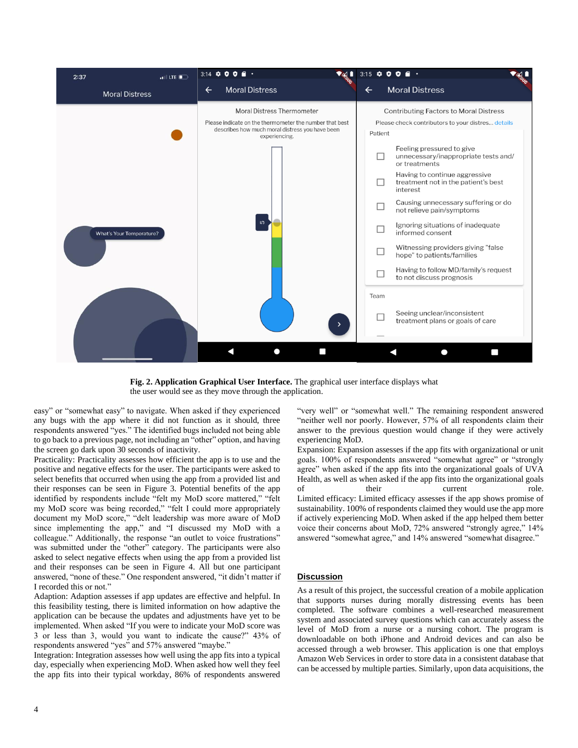

**Fig. 2. Application Graphical User Interface.** The graphical user interface displays what the user would see as they move through the application.

easy" or "somewhat easy" to navigate. When asked if they experienced any bugs with the app where it did not function as it should, three respondents answered "yes." The identified bugs included not being able to go back to a previous page, not including an "other" option, and having the screen go dark upon 30 seconds of inactivity.

Practicality: Practicality assesses how efficient the app is to use and the positive and negative effects for the user. The participants were asked to select benefits that occurred when using the app from a provided list and their responses can be seen in Figure 3. Potential benefits of the app identified by respondents include "felt my MoD score mattered," "felt my MoD score was being recorded," "felt I could more appropriately document my MoD score," "delt leadership was more aware of MoD since implementing the app," and "I discussed my MoD with a colleague." Additionally, the response "an outlet to voice frustrations" was submitted under the "other" category. The participants were also asked to select negative effects when using the app from a provided list and their responses can be seen in Figure 4. All but one participant answered, "none of these." One respondent answered, "it didn't matter if I recorded this or not."

Adaption: Adaption assesses if app updates are effective and helpful. In this feasibility testing, there is limited information on how adaptive the application can be because the updates and adjustments have yet to be implemented. When asked "If you were to indicate your MoD score was 3 or less than 3, would you want to indicate the cause?" 43% of respondents answered "yes" and 57% answered "maybe."

Integration: Integration assesses how well using the app fits into a typical day, especially when experiencing MoD. When asked how well they feel the app fits into their typical workday, 86% of respondents answered "very well" or "somewhat well." The remaining respondent answered "neither well nor poorly. However, 57% of all respondents claim their answer to the previous question would change if they were actively experiencing MoD.

Expansion: Expansion assesses if the app fits with organizational or unit goals. 100% of respondents answered "somewhat agree" or "strongly agree" when asked if the app fits into the organizational goals of UVA Health, as well as when asked if the app fits into the organizational goals of their current role. Limited efficacy: Limited efficacy assesses if the app shows promise of sustainability. 100% of respondents claimed they would use the app more if actively experiencing MoD. When asked if the app helped them better voice their concerns about MoD, 72% answered "strongly agree," 14% answered "somewhat agree," and 14% answered "somewhat disagree."

# **Discussion**

As a result of this project, the successful creation of a mobile application that supports nurses during morally distressing events has been completed. The software combines a well-researched measurement system and associated survey questions which can accurately assess the level of MoD from a nurse or a nursing cohort. The program is downloadable on both iPhone and Android devices and can also be accessed through a web browser. This application is one that employs Amazon Web Services in order to store data in a consistent database that can be accessed by multiple parties. Similarly, upon data acquisitions, the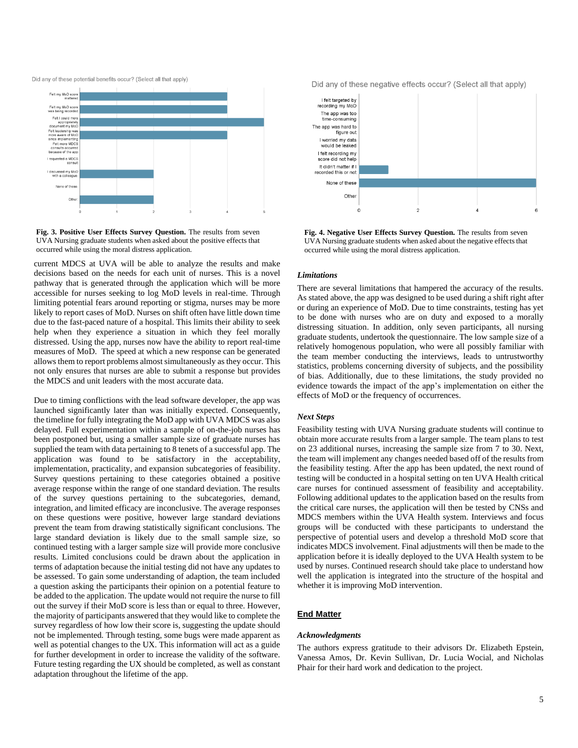Did any of these potential benefits occur? (Select all that apply)



**Fig. 3. Positive User Effects Survey Question.** The results from seven UVA Nursing graduate students when asked about the positive effects that occurred while using the moral distress application.

current MDCS at UVA will be able to analyze the results and make decisions based on the needs for each unit of nurses. This is a novel pathway that is generated through the application which will be more accessible for nurses seeking to log MoD levels in real-time. Through limiting potential fears around reporting or stigma, nurses may be more likely to report cases of MoD. Nurses on shift often have little down time due to the fast-paced nature of a hospital. This limits their ability to seek help when they experience a situation in which they feel morally distressed. Using the app, nurses now have the ability to report real-time measures of MoD. The speed at which a new response can be generated allows them to report problems almost simultaneously as they occur. This not only ensures that nurses are able to submit a response but provides the MDCS and unit leaders with the most accurate data.

Due to timing conflictions with the lead software developer, the app was launched significantly later than was initially expected. Consequently, the timeline for fully integrating the MoD app with UVA MDCS was also delayed. Full experimentation within a sample of on-the-job nurses has been postponed but, using a smaller sample size of graduate nurses has supplied the team with data pertaining to 8 tenets of a successful app. The application was found to be satisfactory in the acceptability, implementation, practicality, and expansion subcategories of feasibility. Survey questions pertaining to these categories obtained a positive average response within the range of one standard deviation. The results of the survey questions pertaining to the subcategories, demand, integration, and limited efficacy are inconclusive. The average responses on these questions were positive, however large standard deviations prevent the team from drawing statistically significant conclusions. The large standard deviation is likely due to the small sample size, so continued testing with a larger sample size will provide more conclusive results. Limited conclusions could be drawn about the application in terms of adaptation because the initial testing did not have any updates to be assessed. To gain some understanding of adaption, the team included a question asking the participants their opinion on a potential feature to be added to the application. The update would not require the nurse to fill out the survey if their MoD score is less than or equal to three. However, the majority of participants answered that they would like to complete the survey regardless of how low their score is, suggesting the update should not be implemented. Through testing, some bugs were made apparent as well as potential changes to the UX. This information will act as a guide for further development in order to increase the validity of the software. Future testing regarding the UX should be completed, as well as constant adaptation throughout the lifetime of the app.

Did any of these negative effects occur? (Select all that apply)



**Fig. 4. Negative User Effects Survey Question.** The results from seven UVA Nursing graduate students when asked about the negative effects that occurred while using the moral distress application.

#### *Limitations*

There are several limitations that hampered the accuracy of the results. As stated above, the app was designed to be used during a shift right after or during an experience of MoD. Due to time constraints, testing has yet to be done with nurses who are on duty and exposed to a morally distressing situation. In addition, only seven participants, all nursing graduate students, undertook the questionnaire. The low sample size of a relatively homogenous population, who were all possibly familiar with the team member conducting the interviews, leads to untrustworthy statistics, problems concerning diversity of subjects, and the possibility of bias. Additionally, due to these limitations, the study provided no evidence towards the impact of the app's implementation on either the effects of MoD or the frequency of occurrences.

### *Next Steps*

Feasibility testing with UVA Nursing graduate students will continue to obtain more accurate results from a larger sample. The team plans to test on 23 additional nurses, increasing the sample size from 7 to 30. Next, the team will implement any changes needed based off of the results from the feasibility testing. After the app has been updated, the next round of testing will be conducted in a hospital setting on ten UVA Health critical care nurses for continued assessment of feasibility and acceptability. Following additional updates to the application based on the results from the critical care nurses, the application will then be tested by CNSs and MDCS members within the UVA Health system. Interviews and focus groups will be conducted with these participants to understand the perspective of potential users and develop a threshold MoD score that indicates MDCS involvement. Final adjustments will then be made to the application before it is ideally deployed to the UVA Health system to be used by nurses. Continued research should take place to understand how well the application is integrated into the structure of the hospital and whether it is improving MoD intervention.

# **End Matter**

#### *Acknowledgments*

The authors express gratitude to their advisors Dr. Elizabeth Epstein, Vanessa Amos, Dr. Kevin Sullivan, Dr. Lucia Wocial, and Nicholas Phair for their hard work and dedication to the project.